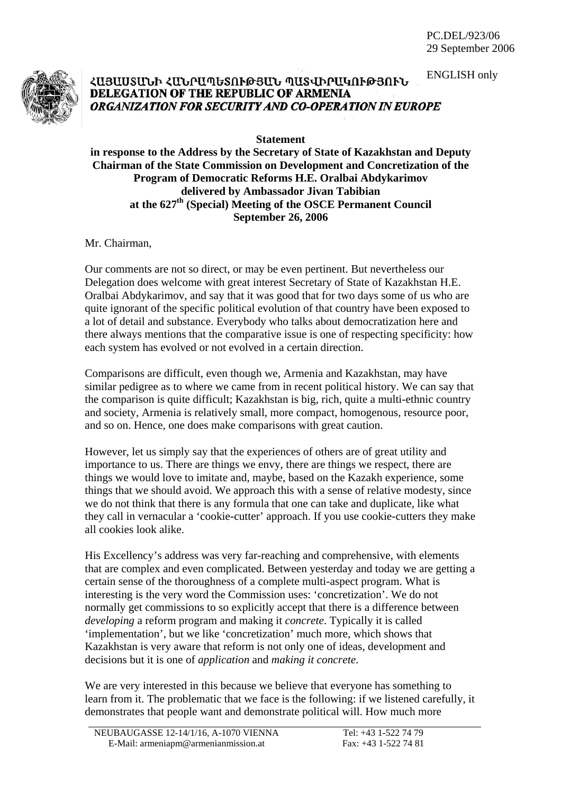

## ENGLISH only ՀԱՅԱՍՏԱՆԻ ՀԱՆՐԱՊԵՏՈՒԹՅԱՆ ՊԱՏՎԻՐԱԿՈՒԹՅՈՒՆ DELEGATION OF THE REPUBLIC OF ARMENIA ORGANIZATION FOR SECURITY AND CO-OPERATION IN EUROPE

**Statement** 

**in response to the Address by the Secretary of State of Kazakhstan and Deputy Chairman of the State Commission on Development and Concretization of the Program of Democratic Reforms H.E. Oralbai Abdykarimov delivered by Ambassador Jivan Tabibian at the 627th (Special) Meeting of the OSCE Permanent Council September 26, 2006** 

Mr. Chairman,

Our comments are not so direct, or may be even pertinent. But nevertheless our Delegation does welcome with great interest Secretary of State of Kazakhstan H.E. Oralbai Abdykarimov, and say that it was good that for two days some of us who are quite ignorant of the specific political evolution of that country have been exposed to a lot of detail and substance. Everybody who talks about democratization here and there always mentions that the comparative issue is one of respecting specificity: how each system has evolved or not evolved in a certain direction.

Comparisons are difficult, even though we, Armenia and Kazakhstan, may have similar pedigree as to where we came from in recent political history. We can say that the comparison is quite difficult; Kazakhstan is big, rich, quite a multi-ethnic country and society, Armenia is relatively small, more compact, homogenous, resource poor, and so on. Hence, one does make comparisons with great caution.

However, let us simply say that the experiences of others are of great utility and importance to us. There are things we envy, there are things we respect, there are things we would love to imitate and, maybe, based on the Kazakh experience, some things that we should avoid. We approach this with a sense of relative modesty, since we do not think that there is any formula that one can take and duplicate, like what they call in vernacular a 'cookie-cutter' approach. If you use cookie-cutters they make all cookies look alike.

His Excellency's address was very far-reaching and comprehensive, with elements that are complex and even complicated. Between yesterday and today we are getting a certain sense of the thoroughness of a complete multi-aspect program. What is interesting is the very word the Commission uses: 'concretization'. We do not normally get commissions to so explicitly accept that there is a difference between *developing* a reform program and making it *concrete*. Typically it is called 'implementation', but we like 'concretization' much more, which shows that Kazakhstan is very aware that reform is not only one of ideas, development and decisions but it is one of *application* and *making it concrete*.

We are very interested in this because we believe that everyone has something to learn from it. The problematic that we face is the following: if we listened carefully, it demonstrates that people want and demonstrate political will. How much more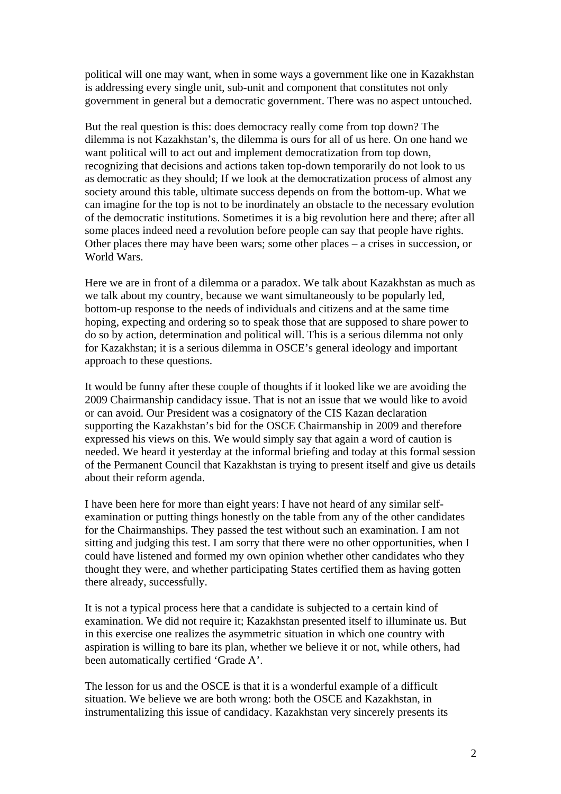political will one may want, when in some ways a government like one in Kazakhstan is addressing every single unit, sub-unit and component that constitutes not only government in general but a democratic government. There was no aspect untouched.

But the real question is this: does democracy really come from top down? The dilemma is not Kazakhstan's, the dilemma is ours for all of us here. On one hand we want political will to act out and implement democratization from top down, recognizing that decisions and actions taken top-down temporarily do not look to us as democratic as they should; If we look at the democratization process of almost any society around this table, ultimate success depends on from the bottom-up. What we can imagine for the top is not to be inordinately an obstacle to the necessary evolution of the democratic institutions. Sometimes it is a big revolution here and there; after all some places indeed need a revolution before people can say that people have rights. Other places there may have been wars; some other places – a crises in succession, or World Wars.

Here we are in front of a dilemma or a paradox. We talk about Kazakhstan as much as we talk about my country, because we want simultaneously to be popularly led, bottom-up response to the needs of individuals and citizens and at the same time hoping, expecting and ordering so to speak those that are supposed to share power to do so by action, determination and political will. This is a serious dilemma not only for Kazakhstan; it is a serious dilemma in OSCE's general ideology and important approach to these questions.

It would be funny after these couple of thoughts if it looked like we are avoiding the 2009 Chairmanship candidacy issue. That is not an issue that we would like to avoid or can avoid. Our President was a cosignatory of the CIS Kazan declaration supporting the Kazakhstan's bid for the OSCE Chairmanship in 2009 and therefore expressed his views on this. We would simply say that again a word of caution is needed. We heard it yesterday at the informal briefing and today at this formal session of the Permanent Council that Kazakhstan is trying to present itself and give us details about their reform agenda.

I have been here for more than eight years: I have not heard of any similar selfexamination or putting things honestly on the table from any of the other candidates for the Chairmanships. They passed the test without such an examination. I am not sitting and judging this test. I am sorry that there were no other opportunities, when I could have listened and formed my own opinion whether other candidates who they thought they were, and whether participating States certified them as having gotten there already, successfully.

It is not a typical process here that a candidate is subjected to a certain kind of examination. We did not require it; Kazakhstan presented itself to illuminate us. But in this exercise one realizes the asymmetric situation in which one country with aspiration is willing to bare its plan, whether we believe it or not, while others, had been automatically certified 'Grade A'.

The lesson for us and the OSCE is that it is a wonderful example of a difficult situation. We believe we are both wrong: both the OSCE and Kazakhstan, in instrumentalizing this issue of candidacy. Kazakhstan very sincerely presents its